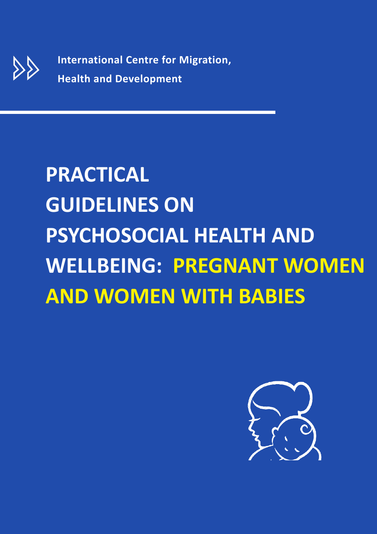**International Centre for Migration, Health and Development**

# **PRACTICAL GUIDELINES ON PSYCHOSOCIAL HEALTH AND WELLBEING: PREGNANT WOMEN AND WOMEN WITH BABIES**

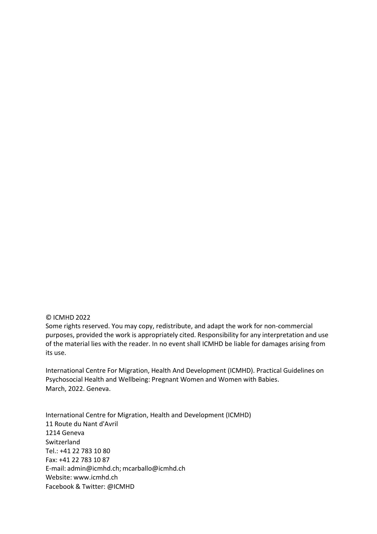#### © ICMHD 2022

Some rights reserved. You may copy, redistribute, and adapt the work for non-commercial purposes, provided the work is appropriately cited. Responsibility for any interpretation and use of the material lies with the reader. In no event shall ICMHD be liable for damages arising from its use.

International Centre For Migration, Health And Development (ICMHD). Practical Guidelines on Psychosocial Health and Wellbeing: Pregnant Women and Women with Babies. March, 2022. Geneva.

International Centre for Migration, Health and Development (ICMHD) 11 Route du Nant d'Avril 1214 Geneva Switzerland Tel.: +41 22 783 10 80 Fax: +41 22 783 10 87 E-mail: admin@icmhd.ch; [mcarballo@icmhd.ch](mailto:mcarballo@icmhd.ch) Website: [www.icmhd.ch](http://www.icmhd.ch/) Facebook & Twitter: @ICMHD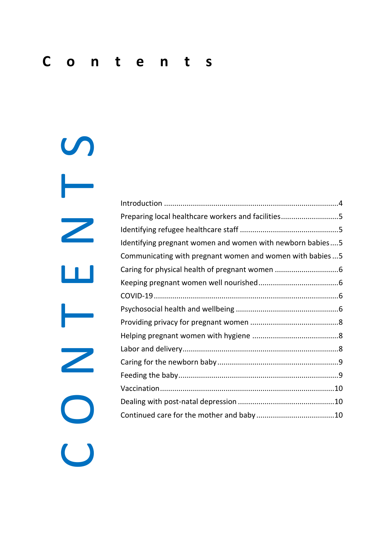C O N T E N D<br>O N T E N D<br>O N D N D D Introduction [.....................................................................................4](#page-3-0) Preparing local healthcare workers and facilities...............................5 [Identifying refugee healthcare staff](#page-4-1) ................................................5 [Identifying pregnant women and women with newborn babies....5](#page-4-2) [Communicating with pregnant women and women with babies...5](#page-4-3) [Caring for physical health of pregnant women](#page-5-0) ...............................6 [Keeping pregnant women well nourished.......................................6](#page-5-1) [COVID-19..........................................................................................6](#page-5-2) [Psychosocial health and wellbeing](#page-5-3) ..................................................6 [Providing privacy for pregnant women](#page-7-0) ...........................................8 [Helping pregnant women with hygiene](#page-7-1) ..........................................8 [Labor and delivery............................................................................8](#page-7-2) [Caring for the newborn baby...........................................................9](#page-8-0) [Feeding the baby..............................................................................9](#page-8-1) [Vaccination.....................................................................................10](#page-9-0) [Dealing with post-natal depression](#page-9-1) ...............................................10 [Continued care for the mother and baby](#page-9-2) ......................................10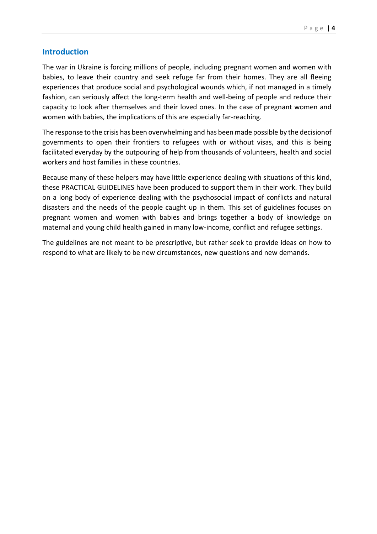#### <span id="page-3-0"></span>**Introduction**

The war in Ukraine is forcing millions of people, including pregnant women and women with babies, to leave their country and seek refuge far from their homes. They are all fleeing experiences that produce social and psychological wounds which, if not managed in a timely fashion, can seriously affect the long-term health and well-being of people and reduce their capacity to look after themselves and their loved ones. In the case of pregnant women and women with babies, the implications of this are especially far-reaching.

The response to the crisis has been overwhelming and has been made possible by the decisionof governments to open their frontiers to refugees with or without visas, and this is being facilitated everyday by the outpouring of help from thousands of volunteers, health and social workers and host families in these countries.

Because many of these helpers may have little experience dealing with situations of this kind, these PRACTICAL GUIDELINES have been produced to support them in their work. They build on a long body of experience dealing with the psychosocial impact of conflicts and natural disasters and the needs of the people caught up in them. This set of guidelines focuses on pregnant women and women with babies and brings together a body of knowledge on maternal and young child health gained in many low-income, conflict and refugee settings.

The guidelines are not meant to be prescriptive, but rather seek to provide ideas on how to respond to what are likely to be new circumstances, new questions and new demands.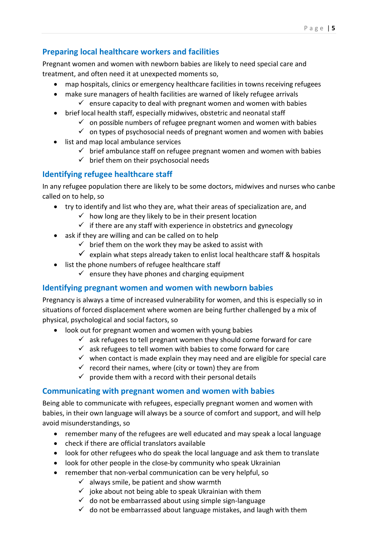# <span id="page-4-0"></span>**Preparing local healthcare workers and facilities**

Pregnant women and women with newborn babies are likely to need special care and treatment, and often need it at unexpected moments so,

- map hospitals, clinics or emergency healthcare facilities in towns receiving refugees
- make sure managers of health facilities are warned of likely refugee arrivals
	- $\checkmark$  ensure capacity to deal with pregnant women and women with babies
- brief local health staff, especially midwives, obstetric and neonatal staff
	- $\checkmark$  on possible numbers of refugee pregnant women and women with babies
	- $\checkmark$  on types of psychosocial needs of pregnant women and women with babies
- list and map local ambulance services
	- $\checkmark$  brief ambulance staff on refugee pregnant women and women with babies
	- $\checkmark$  brief them on their psychosocial needs

# <span id="page-4-1"></span>**Identifying refugee healthcare staff**

In any refugee population there are likely to be some doctors, midwives and nurses who canbe called on to help, so

- try to identify and list who they are, what their areas of specialization are, and
	- $\checkmark$  how long are they likely to be in their present location
	- $\checkmark$  if there are any staff with experience in obstetrics and gynecology
- ask if they are willing and can be called on to help
	- $\checkmark$  brief them on the work they may be asked to assist with
	- $\checkmark$  explain what steps already taken to enlist local healthcare staff & hospitals
- list the phone numbers of refugee healthcare staff
	- $\checkmark$  ensure they have phones and charging equipment

### <span id="page-4-2"></span>**Identifying pregnant women and women with newborn babies**

Pregnancy is always a time of increased vulnerability for women, and this is especially so in situations of forced displacement where women are being further challenged by a mix of physical, psychological and social factors, so

- look out for pregnant women and women with young babies
	- $\checkmark$  ask refugees to tell pregnant women they should come forward for care
	- $\checkmark$  ask refugees to tell women with babies to come forward for care
	- $\checkmark$  when contact is made explain they may need and are eligible for special care
	- $\checkmark$  record their names, where (city or town) they are from
	- $\checkmark$  provide them with a record with their personal details

### <span id="page-4-3"></span>**Communicating with pregnant women and women with babies**

Being able to communicate with refugees, especially pregnant women and women with babies, in their own language will always be a source of comfort and support, and will help avoid misunderstandings, so

- remember many of the refugees are well educated and may speak a local language
- check if there are official translators available
- look for other refugees who do speak the local language and ask them to translate
- look for other people in the close-by community who speak Ukrainian
- remember that non-verbal communication can be very helpful, so
	- $\checkmark$  always smile, be patient and show warmth
	- $\checkmark$  joke about not being able to speak Ukrainian with them
	- $\checkmark$  do not be embarrassed about using simple sign-language
	- $\checkmark$  do not be embarrassed about language mistakes, and laugh with them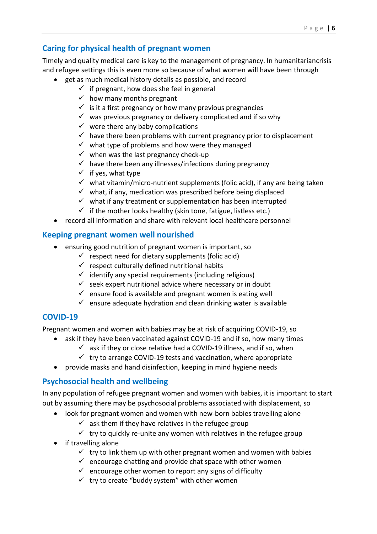# <span id="page-5-0"></span>**Caring for physical health of pregnant women**

Timely and quality medical care is key to the management of pregnancy. In humanitariancrisis and refugee settings this is even more so because of what women will have been through

- get as much medical history details as possible, and record
	- $\checkmark$  if pregnant, how does she feel in general
	- $\checkmark$  how many months pregnant
	- $\checkmark$  is it a first pregnancy or how many previous pregnancies
	- $\checkmark$  was previous pregnancy or delivery complicated and if so why
	- $\checkmark$  were there any baby complications
	- $\checkmark$  have there been problems with current pregnancy prior to displacement
	- $\checkmark$  what type of problems and how were they managed
	- $\checkmark$  when was the last pregnancy check-up
	- $\checkmark$  have there been any illnesses/infections during pregnancy
	- $\checkmark$  if yes, what type
	- $\checkmark$  what vitamin/micro-nutrient supplements (folic acid), if any are being taken
	- $\checkmark$  what, if any, medication was prescribed before being displaced
	- $\checkmark$  what if any treatment or supplementation has been interrupted
	- $\checkmark$  if the mother looks healthy (skin tone, fatigue, listless etc.)
- record all information and share with relevant local healthcare personnel

#### <span id="page-5-1"></span>**Keeping pregnant women well nourished**

- ensuring good nutrition of pregnant women is important, so
	- $\checkmark$  respect need for dietary supplements (folic acid)
	- $\checkmark$  respect culturally defined nutritional habits
	- $\checkmark$  identify any special requirements (including religious)
	- $\checkmark$  seek expert nutritional advice where necessary or in doubt
	- $\checkmark$  ensure food is available and pregnant women is eating well
	- $\checkmark$  ensure adequate hydration and clean drinking water is available

### <span id="page-5-2"></span>**COVID-19**

Pregnant women and women with babies may be at risk of acquiring COVID-19, so

- ask if they have been vaccinated against COVID-19 and if so, how many times
	- $\checkmark$  ask if they or close relative had a COVID-19 illness, and if so, when
	- $\checkmark$  try to arrange COVID-19 tests and vaccination, where appropriate
- provide masks and hand disinfection, keeping in mind hygiene needs

### <span id="page-5-3"></span>**Psychosocial health and wellbeing**

In any population of refugee pregnant women and women with babies, it is important to start out by assuming there may be psychosocial problems associated with displacement, so

- look for pregnant women and women with new-born babies travelling alone
	- $\checkmark$  ask them if they have relatives in the refugee group
	- $\checkmark$  try to quickly re-unite any women with relatives in the refugee group
- if travelling alone
	- $\checkmark$  try to link them up with other pregnant women and women with babies
	- $\checkmark$  encourage chatting and provide chat space with other women
	- $\checkmark$  encourage other women to report any signs of difficulty
	- $\checkmark$  try to create "buddy system" with other women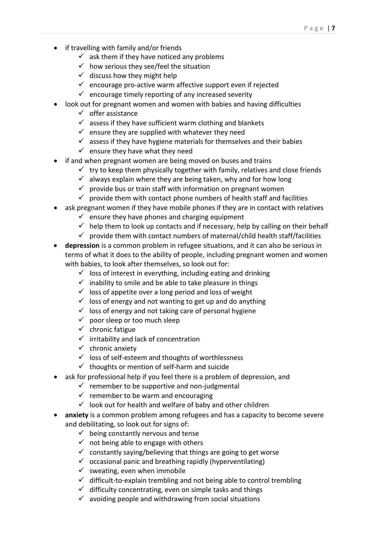- if travelling with family and/or friends
	- $\checkmark$  ask them if they have noticed any problems
	- $\checkmark$  how serious they see/feel the situation
	- $\checkmark$  discuss how they might help
	- $\checkmark$  encourage pro-active warm affective support even if rejected
	- $\checkmark$  encourage timely reporting of any increased severity
- look out for pregnant women and women with babies and having difficulties
	- $\checkmark$  offer assistance
	- $\checkmark$  assess if they have sufficient warm clothing and blankets
	- $\checkmark$  ensure they are supplied with whatever they need
	- $\checkmark$  assess if they have hygiene materials for themselves and their babies
	- $\checkmark$  ensure they have what they need
- if and when pregnant women are being moved on buses and trains
	- $\checkmark$  try to keep them physically together with family, relatives and close friends
	- $\checkmark$  always explain where they are being taken, why and for how long
	- $\checkmark$  provide bus or train staff with information on pregnant women
	- $\checkmark$  provide them with contact phone numbers of health staff and facilities
- ask pregnant women if they have mobile phones if they are in contact with relatives
	- $\checkmark$  ensure they have phones and charging equipment
	- $\checkmark$  help them to look up contacts and if necessary, help by calling on their behalf
	- $\checkmark$  provide them with contact numbers of maternal/child health staff/facilities
- **depression** is a common problem in refugee situations, and it can also be serious in terms of what it does to the ability of people, including pregnant women and women with babies, to look after themselves, so look out for:
	- $\checkmark$  loss of interest in everything, including eating and drinking
	- $\checkmark$  inability to smile and be able to take pleasure in things
	- $\checkmark$  loss of appetite over a long period and loss of weight
	- $\checkmark$  loss of energy and not wanting to get up and do anything
	- $\checkmark$  loss of energy and not taking care of personal hygiene
	- $\checkmark$  poor sleep or too much sleep
	- ✓ chronic fatigue
	- $\checkmark$  irritability and lack of concentration
	- ✓ chronic anxiety
	- ✓ loss of self-esteem and thoughts of worthlessness
	- $\checkmark$  thoughts or mention of self-harm and suicide
- ask for professional help if you feel there is a problem of depression, and
	- $\checkmark$  remember to be supportive and non-judgmental
		- $\checkmark$  remember to be warm and encouraging
		- $\checkmark$  look out for health and welfare of baby and other children
- **anxiety** is a common problem among refugees and has a capacity to become severe and debilitating, so look out for signs of:
	- $\checkmark$  being constantly nervous and tense
	- $\checkmark$  not being able to engage with others
	- $\checkmark$  constantly saying/believing that things are going to get worse
	- $\checkmark$  occasional panic and breathing rapidly (hyperventilating)
	- $\checkmark$  sweating, even when immobile
	- ✓ difficult-to-explain trembling and not being able to control trembling
	- $\checkmark$  difficulty concentrating, even on simple tasks and things
	- $\checkmark$  avoiding people and withdrawing from social situations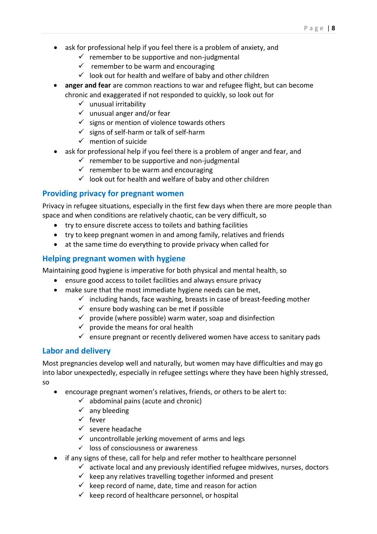- ask for professional help if you feel there is a problem of anxiety, and
	- $\checkmark$  remember to be supportive and non-judgmental
	- $\checkmark$  remember to be warm and encouraging
	- $\checkmark$  look out for health and welfare of baby and other children
- **anger and fear** are common reactions to war and refugee flight, but can become chronic and exaggerated if not responded to quickly, so look out for
	- $\checkmark$  unusual irritability
	- $\checkmark$  unusual anger and/or fear
	- $\checkmark$  signs or mention of violence towards others
	- $\checkmark$  signs of self-harm or talk of self-harm
	- $\checkmark$  mention of suicide
- ask for professional help if you feel there is a problem of anger and fear, and
	- $\checkmark$  remember to be supportive and non-judgmental
	- $\checkmark$  remember to be warm and encouraging
	- $\checkmark$  look out for health and welfare of baby and other children

#### <span id="page-7-0"></span>**Providing privacy for pregnant women**

Privacy in refugee situations, especially in the first few days when there are more people than space and when conditions are relatively chaotic, can be very difficult, so

- try to ensure discrete access to toilets and bathing facilities
- try to keep pregnant women in and among family, relatives and friends
- at the same time do everything to provide privacy when called for

### <span id="page-7-1"></span>**Helping pregnant women with hygiene**

Maintaining good hygiene is imperative for both physical and mental health, so

- ensure good access to toilet facilities and always ensure privacy
- make sure that the most immediate hygiene needs can be met,
	- $\checkmark$  including hands, face washing, breasts in case of breast-feeding mother
	- $\checkmark$  ensure body washing can be met if possible
	- $\checkmark$  provide (where possible) warm water, soap and disinfection
	- $\checkmark$  provide the means for oral health
	- $\checkmark$  ensure pregnant or recently delivered women have access to sanitary pads

### <span id="page-7-2"></span>**Labor and delivery**

Most pregnancies develop well and naturally, but women may have difficulties and may go into labor unexpectedly, especially in refugee settings where they have been highly stressed, so

- encourage pregnant women's relatives, friends, or others to be alert to:
	- $\checkmark$  abdominal pains (acute and chronic)
	- $\checkmark$  any bleeding
	- ✓ fever
	- $\checkmark$  severe headache
	- $\checkmark$  uncontrollable jerking movement of arms and legs
	- ✓ loss of consciousness or awareness
- if any signs of these, call for help and refer mother to healthcare personnel
	- $\checkmark$  activate local and any previously identified refugee midwives, nurses, doctors
	- $\checkmark$  keep any relatives travelling together informed and present
	- $\checkmark$  keep record of name, date, time and reason for action
	- $\checkmark$  keep record of healthcare personnel, or hospital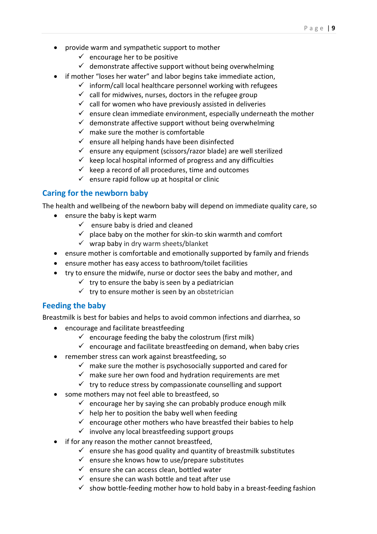- provide warm and sympathetic support to mother
	- $\checkmark$  encourage her to be positive
	- $\checkmark$  demonstrate affective support without being overwhelming
- if mother "loses her water" and labor begins take immediate action,
	- $\checkmark$  inform/call local healthcare personnel working with refugees
		- $\checkmark$  call for midwives, nurses, doctors in the refugee group
		- $\checkmark$  call for women who have previously assisted in deliveries
		- $\checkmark$  ensure clean immediate environment, especially underneath the mother
		- $\checkmark$  demonstrate affective support without being overwhelming
		- $\checkmark$  make sure the mother is comfortable
		- $\checkmark$  ensure all helping hands have been disinfected
		- $\checkmark$  ensure any equipment (scissors/razor blade) are well sterilized
		- $\checkmark$  keep local hospital informed of progress and any difficulties
		- $\checkmark$  keep a record of all procedures, time and outcomes
		- $\checkmark$  ensure rapid follow up at hospital or clinic

# <span id="page-8-0"></span>**Caring for the newborn baby**

The health and wellbeing of the newborn baby will depend on immediate quality care, so

- ensure the baby is kept warm
	- $\checkmark$  ensure baby is dried and cleaned
	- $\checkmark$  place baby on the mother for skin-to skin warmth and comfort
	- $\checkmark$  wrap baby in dry warm sheets/blanket
- ensure mother is comfortable and emotionally supported by family and friends
- ensure mother has easy access to bathroom/toilet facilities
- try to ensure the midwife, nurse or doctor sees the baby and mother, and
	- $\checkmark$  try to ensure the baby is seen by a pediatrician
	- $\checkmark$  try to ensure mother is seen by an obstetrician

### <span id="page-8-1"></span>**Feeding the baby**

Breastmilk is best for babies and helps to avoid common infections and diarrhea, so

- encourage and facilitate breastfeeding
	- $\checkmark$  encourage feeding the baby the colostrum (first milk)
	- $\checkmark$  encourage and facilitate breastfeeding on demand, when baby cries
- remember stress can work against breastfeeding, so
	- $\checkmark$  make sure the mother is psychosocially supported and cared for
	- $\checkmark$  make sure her own food and hydration requirements are met
	- $\checkmark$  try to reduce stress by compassionate counselling and support
- some mothers may not feel able to breastfeed, so
	- $\checkmark$  encourage her by saying she can probably produce enough milk
	- $\checkmark$  help her to position the baby well when feeding
	- $\checkmark$  encourage other mothers who have breastfed their babies to help
	- $\checkmark$  involve any local breastfeeding support groups
- if for any reason the mother cannot breastfeed,
	- $\checkmark$  ensure she has good quality and quantity of breastmilk substitutes
	- $\checkmark$  ensure she knows how to use/prepare substitutes
	- $\checkmark$  ensure she can access clean, bottled water
	- $\checkmark$  ensure she can wash bottle and teat after use
	- $\checkmark$  show bottle-feeding mother how to hold baby in a breast-feeding fashion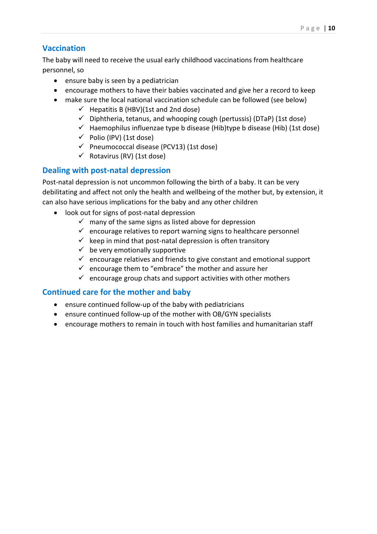# <span id="page-9-0"></span>**Vaccination**

The baby will need to receive the usual early childhood vaccinations from healthcare personnel, so

- ensure baby is seen by a pediatrician
- encourage mothers to have their babies vaccinated and give her a record to keep
- make sure the local national vaccination schedule can be followed (see below)
	- $\checkmark$  Hepatitis B (HBV)(1st and 2nd dose)
	- $\checkmark$  Diphtheria, tetanus, and whooping cough (pertussis) (DTaP) (1st dose)
	- $\checkmark$  Haemophilus influenzae type b disease (Hib)type b disease (Hib) (1st dose)
	- $\checkmark$  Polio (IPV) (1st dose)
	- $\checkmark$  Pneumococcal disease (PCV13) (1st dose)
	- $\checkmark$  Rotavirus (RV) (1st dose)

#### <span id="page-9-1"></span>**Dealing with post-natal depression**

Post-natal depression is not uncommon following the birth of a baby. It can be very debilitating and affect not only the health and wellbeing of the mother but, by extension, it can also have serious implications for the baby and any other children

- look out for signs of post-natal depression
	- $\checkmark$  many of the same signs as listed above for depression
	- $\checkmark$  encourage relatives to report warning signs to healthcare personnel
	- $\checkmark$  keep in mind that post-natal depression is often transitory
	- $\checkmark$  be very emotionally supportive
	- $\checkmark$  encourage relatives and friends to give constant and emotional support
	- $\checkmark$  encourage them to "embrace" the mother and assure her
	- $\checkmark$  encourage group chats and support activities with other mothers

#### <span id="page-9-2"></span>**Continued care for the mother and baby**

- ensure continued follow-up of the baby with pediatricians
- ensure continued follow-up of the mother with OB/GYN specialists
- encourage mothers to remain in touch with host families and humanitarian staff